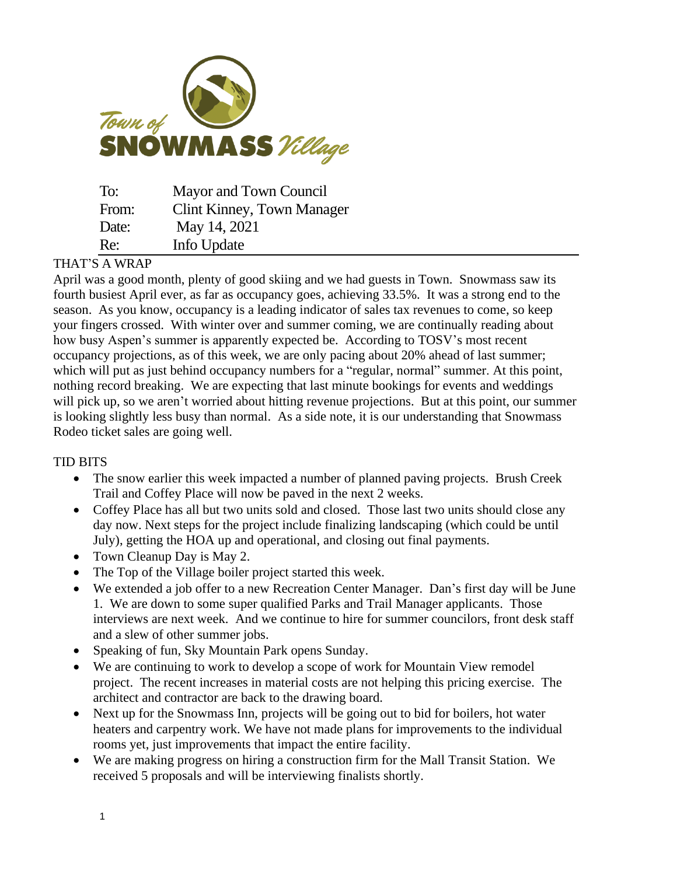

| To:   | Mayor and Town Council            |
|-------|-----------------------------------|
| From: | <b>Clint Kinney, Town Manager</b> |
| Date: | May 14, 2021                      |
| Re:   | Info Update                       |

## THAT'S A WRAP

April was a good month, plenty of good skiing and we had guests in Town. Snowmass saw its fourth busiest April ever, as far as occupancy goes, achieving 33.5%. It was a strong end to the season. As you know, occupancy is a leading indicator of sales tax revenues to come, so keep your fingers crossed. With winter over and summer coming, we are continually reading about how busy Aspen's summer is apparently expected be. According to TOSV's most recent occupancy projections, as of this week, we are only pacing about 20% ahead of last summer; which will put as just behind occupancy numbers for a "regular, normal" summer. At this point, nothing record breaking. We are expecting that last minute bookings for events and weddings will pick up, so we aren't worried about hitting revenue projections. But at this point, our summer is looking slightly less busy than normal. As a side note, it is our understanding that Snowmass Rodeo ticket sales are going well.

## TID BITS

- The snow earlier this week impacted a number of planned paving projects. Brush Creek Trail and Coffey Place will now be paved in the next 2 weeks.
- Coffey Place has all but two units sold and closed. Those last two units should close any day now. Next steps for the project include finalizing landscaping (which could be until July), getting the HOA up and operational, and closing out final payments.
- Town Cleanup Day is May 2.
- The Top of the Village boiler project started this week.
- We extended a job offer to a new Recreation Center Manager. Dan's first day will be June 1. We are down to some super qualified Parks and Trail Manager applicants. Those interviews are next week. And we continue to hire for summer councilors, front desk staff and a slew of other summer jobs.
- Speaking of fun, Sky Mountain Park opens Sunday.
- We are continuing to work to develop a scope of work for Mountain View remodel project. The recent increases in material costs are not helping this pricing exercise. The architect and contractor are back to the drawing board.
- Next up for the Snowmass Inn, projects will be going out to bid for boilers, hot water heaters and carpentry work. We have not made plans for improvements to the individual rooms yet, just improvements that impact the entire facility.
- We are making progress on hiring a construction firm for the Mall Transit Station. We received 5 proposals and will be interviewing finalists shortly.